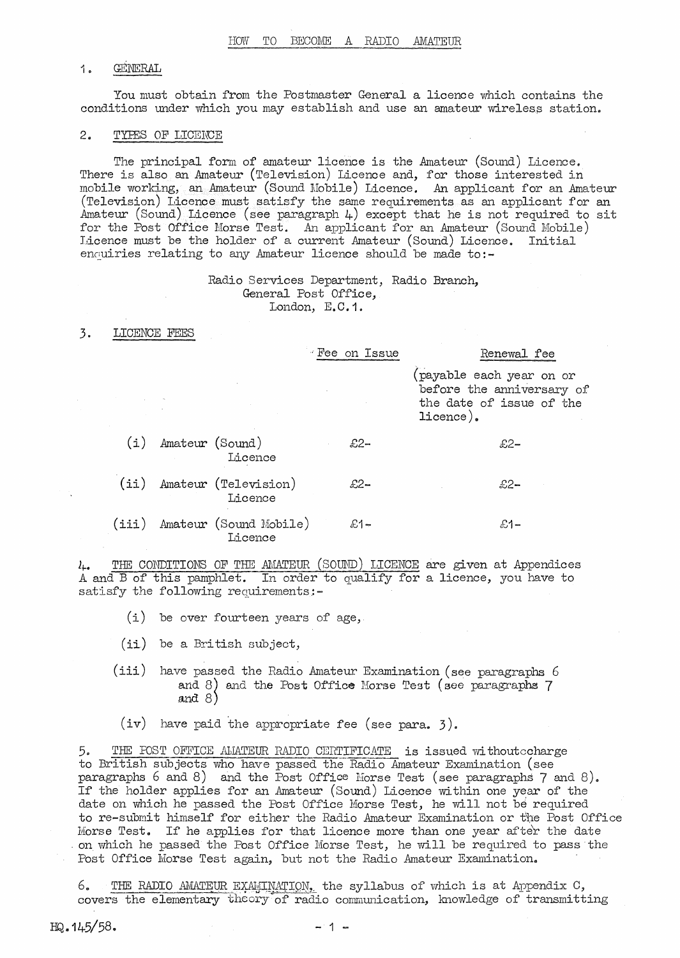## 1.. GENERAL

You must obtain from the Postmaster General a licence which contains the conditions under which you may establish and use an amateur wireless station.

## 2. TYPES OF LICENCE

The principal form of amateur licence is the Amateur (Sound) Licence. There is also an Amateur (Television) Licence and, for those interested in mobile working, an Amateur (Sound Mobile) Licence. An applicant for an Amateur (Television) Licence must satisfy the same requirements as an applicant for an Amateur (Sound) Licence (see paragraph  $\mu$ ) except that he is not required to sit for the Post Office Morse Test. An applicant for an Amateur (Sound Mobile) Licence must be the holder of a current Amateur (Sound) Licence. Initial enquiries relating to any Amateur licence should be made to:-

> Radio Services Department, Radio Branch, General Post Office, London, E.C.1.

#### 3. LICENCE FEES

|         |                 |                                   | Fee on Issue |       | Renewal fee                                                                                   |  |
|---------|-----------------|-----------------------------------|--------------|-------|-----------------------------------------------------------------------------------------------|--|
|         |                 |                                   |              |       | payable each year on or<br>before the anniversary of<br>the date of issue of the<br>licence). |  |
| (i)     | Amateur (Sound) | Licence                           |              | $£2-$ | £2–                                                                                           |  |
| $(i$ i) |                 | Amateur (Television)<br>Licence   |              | $£2-$ | £2–                                                                                           |  |
| (iii)   |                 | Amateur (Sound Mobile)<br>Licence |              | £1–   | £1–                                                                                           |  |

*h.* THE CONDITIONS OF THE AMATEUR (SOUND) LICENCE are given at Appendices A and B of this pamphlet. In order to qualify for a licence, you have to satisfy the following requirements:-

- (i) be over fourteen years of age,
- (ii) be a British subject,
- (iii) have passed the Radio Amateur Examination (see paragraphs  $6$ . and 8) and 8) and the Post Office Morse Test (see paragraphs 7

(iv) have paid the appropriate fee (see para. 3).

5. THE FOST OFFICE AMATEUR RADIO CERTIFICATE is issued withoutccharge to British subjects who have passed the Radio Amateur Examination (see paragraphs  $6$  and  $8$ ) and the Post Office Morse Test (see paragraphs  $7$  and  $8$ ). If the holder applies for an Amateur (Sound) Licence within one year of the date on which he passed the Post Office Morse Test, he will not be required to re-submit himself for either the Radio Amateur Examination or the Post Office Morse Test. If he applies for that licence more than one year after the date . on ·which he passed the Post Office Morse Test, he will be required to pass the Post Office Morse Test again, but not the Radio Amateur Examination.

THE RADIO AMATEUR EXAULTNATION, the syllabus of which is at Appendix C, covers the elementary theory of radio communication, knowledge of transmitting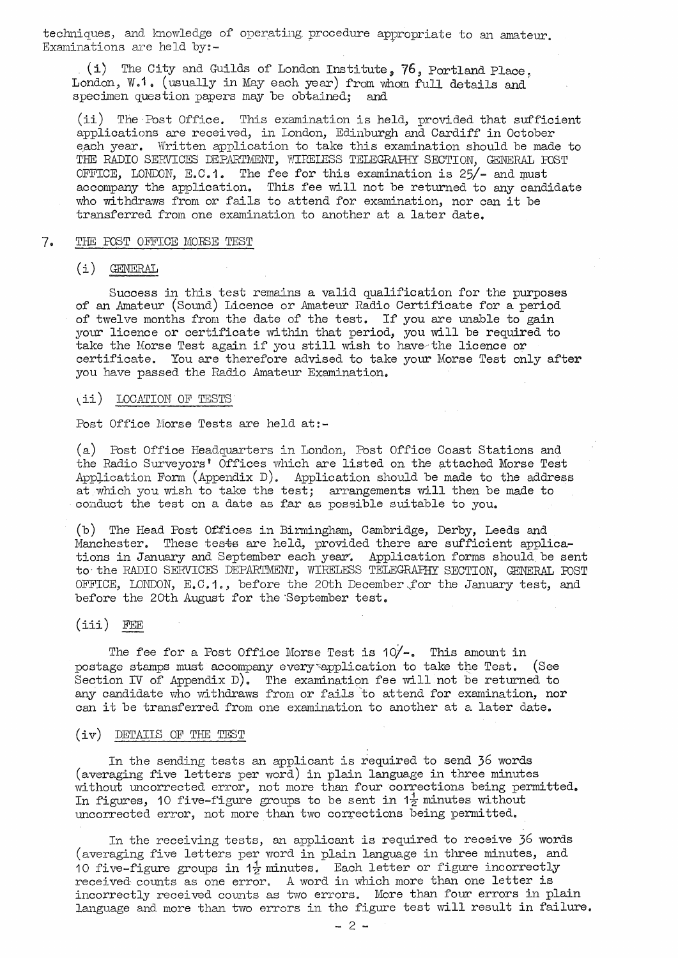techniques, and knowledge of operating procedure appropriate to an amateur. Examinations are held by:-

(i) The City and Guilds of London Institute. 76. Portland Place. London, W.1. (usually in May each year) from whom full details and specimen question papers may be obtained; and

(ii) The·Post Office. This examination is held, provided that sufficient applications are received, in London, Edinburgh and Cardiff in October each year. Written application to take this examination should be made to THE RADIO SERVICES DEPARTMENT, WIRELESS TELEGRAPHY SECTION, GENERAL FOST OFFICE, LONDON, E.C.1. The fee for this examination is  $25/-$  and must accompany the application. This fee will not be returned to any candidate who withdraws from or fails to attend for examination, nor can it be transferred from one examination to another at a later date.

### 7. THE FOST OFFICE MORSE TEST

## (i) GENERAL

Success in this test remains a valid qualification for the purposes of an Amateur (Sound) Licence or Amateur Radio Certificate for a period of twelve months from the date of the test. If you are unable to gain your licence or certificate within that period, you will be required to take the Morse Test again if you still wish to have the licence or certificate. You are therefore advised to take your Morse Test only after you have passed the Radio Amateur Examination.

### (ii) LOCATION OF TESTS

Post Office Morse Tests are held at:-

(a) Post Office Headquarters in London, Post Office Coast Stations and the Radio Surveyors' Offices which are listed on the attached Morse Test Application Form (Appendix D). Application should be made to the address at which you wish to take the test; arrangements will then be made to conduct the test on a date as  $far$  as possible suitable to you.

(b) The Head Post Offices in Birmingham, Cambridge, Derby, Leeds and Manchester. These tests are held, provided there are sufficient applications in January and September each year. Application forms should be sent to the RADIO SERVICES DEPARTMENT, WIRELESS TELEGRAFHY SECTION, GENERAL FOST OFFICE, LONDON, E.C.1., before the 20th December,for the January test, and before the 20th August for the·September test,

# (iii) FEE

The fee for a Post Office Morse Test is  $10/-$ . This amount in postage stamps must accompany every application to take the Test. (See Section IV of Appendix  $D$ . The examination fee will not be returned to any candidate who withdraws from or fails to attend for examination, nor can it be transferred from one examination to another at a later date.

### (iv) DETAIIS OF THE TEST

In the sending tests an applicant is required to send 36 words (averaging five letters per word) in plain language in three minutes without uncorrected error, not more than four corrections being permitted. In figures, 10 five-figure groups to be sent in  $1\frac{1}{2}$  minutes without uncorrected error, not more than two corrections being permitted.

In the receiving tests, an applicant is required to receive 36 words (averaging five letters per word in plain language in three minutes, and 10 five-figure groups in  $1 \frac{1}{2}$  minutes. Each letter or figure incorrectly received counts as one error. A word in which more than one letter is incorrectly received counts as two errors. More than four errors in plain language and more than two errors in the figure test will result in failure.